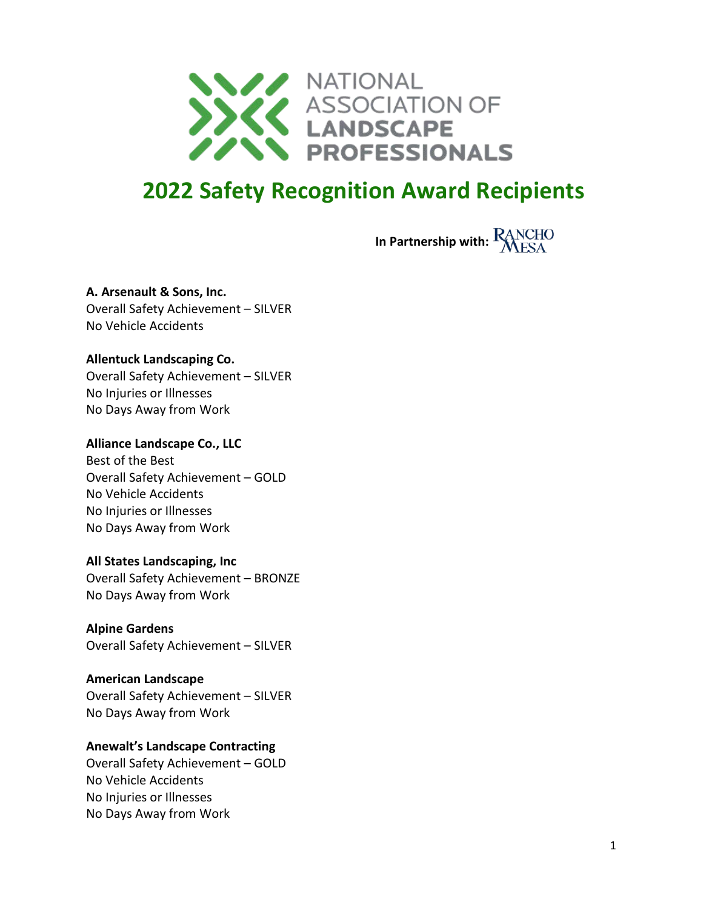

# **2022 Safety Recognition Award Recipients**

**In Partnership with: RANCHO** 

**A. Arsenault & Sons, Inc.** Overall Safety Achievement – SILVER No Vehicle Accidents

## **Allentuck Landscaping Co.**

Overall Safety Achievement – SILVER No Injuries or Illnesses No Days Away from Work

#### **Alliance Landscape Co., LLC**

Best of the Best Overall Safety Achievement – GOLD No Vehicle Accidents No Injuries or Illnesses No Days Away from Work

#### **All States Landscaping, Inc**

Overall Safety Achievement – BRONZE No Days Away from Work

**Alpine Gardens** Overall Safety Achievement – SILVER

#### **American Landscape**

Overall Safety Achievement – SILVER No Days Away from Work

#### **Anewalt's Landscape Contracting**

Overall Safety Achievement – GOLD No Vehicle Accidents No Injuries or Illnesses No Days Away from Work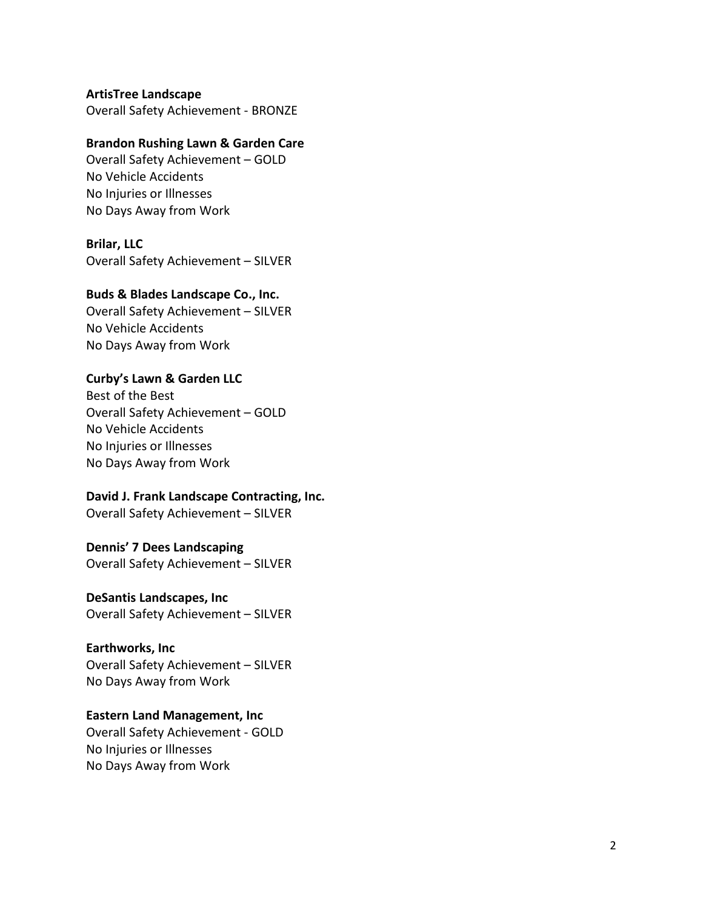**ArtisTree Landscape** Overall Safety Achievement - BRONZE

## **Brandon Rushing Lawn & Garden Care**

Overall Safety Achievement – GOLD No Vehicle Accidents No Injuries or Illnesses No Days Away from Work

#### **Brilar, LLC**

Overall Safety Achievement – SILVER

#### **Buds & Blades Landscape Co., Inc.**

Overall Safety Achievement – SILVER No Vehicle Accidents No Days Away from Work

## **Curby's Lawn & Garden LLC**

Best of the Best Overall Safety Achievement – GOLD No Vehicle Accidents No Injuries or Illnesses No Days Away from Work

## **David J. Frank Landscape Contracting, Inc.**

Overall Safety Achievement – SILVER

## **Dennis ' 7 Dees Landscaping**

Overall Safety Achievement – SILVER

#### **DeSantis Landscapes, Inc**

Overall Safety Achievement – SILVER

#### **Earthworks, Inc**

Overall Safety Achievement – SILVER No Days Away from Work

## **Eastern Land Management, Inc**

Overall Safety Achievement - GOLD No Injuries or Illnesses No Days Away from Work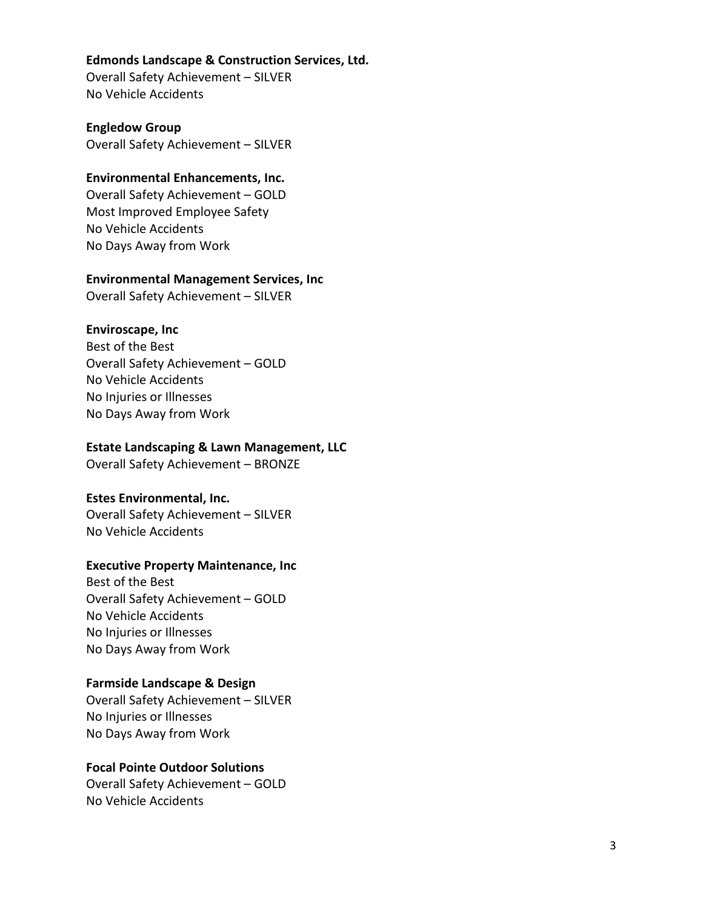#### **Edmonds Landscape & Construction Services, Ltd.**

Overall Safety Achievement – SILVER No Vehicle Accidents

**Engledow Group** Overall Safety Achievement – SILVER

## **Environmental Enhancements, Inc.**

Overall Safety Achievement – GOLD Most Improved Employee Safety No Vehicle Accidents No Days Away from Work

#### **Environmental Management Services, Inc**

Overall Safety Achievement – SILVER

#### **Enviroscape, Inc**

Best of the Best Overall Safety Achievement – GOLD No Vehicle Accidents No Injuries or Illnesses No Days Away from Work

#### **Estate Landscaping & Lawn Management, LLC**

Overall Safety Achievement – BRONZE

#### **Estes Environmental, Inc.**

Overall Safety Achievement – SILVER No Vehicle Accidents

## **Executive Property Maintenance, Inc**

Best of the Best Overall Safety Achievement – GOLD No Vehicle Accidents No Injuries or Illnesses No Days Away from Work

#### **Farmside Landscape & Design**

Overall Safety Achievement – SILVER No Injuries or Illnesses No Days Away from Work

## **Focal Pointe Outdoor Solutions**

Overall Safety Achievement – GOLD No Vehicle Accidents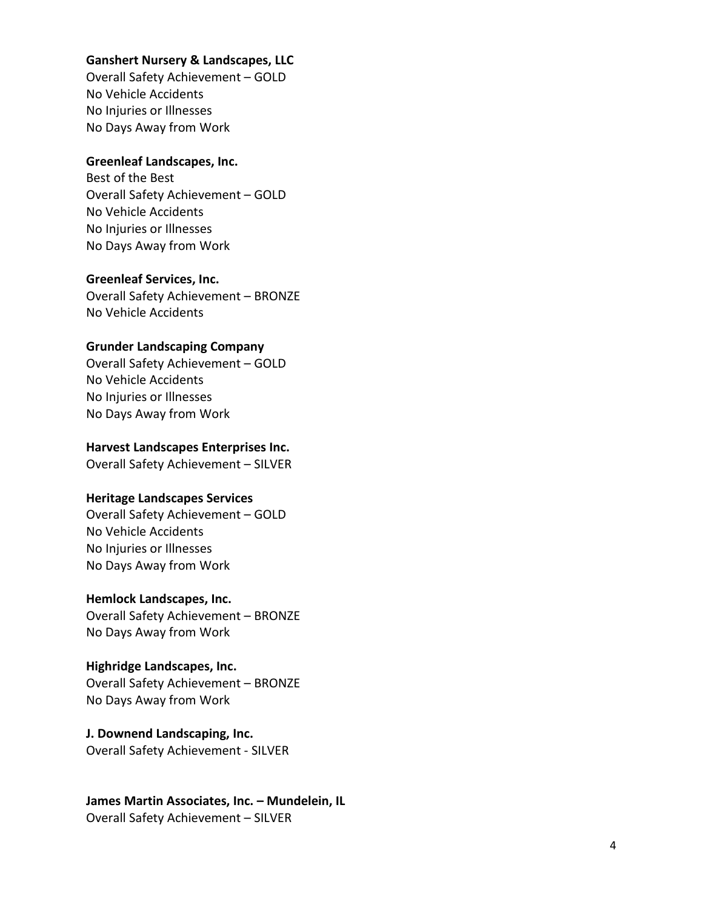#### **Ganshert Nursery & Landscapes, LLC**

Overall Safety Achievement – GOLD No Vehicle Accidents No Injuries or Illnesses No Days Away from Work

#### **Greenleaf Landscapes, Inc.**

Best of the Best Overall Safety Achievement – GOLD No Vehicle Accidents No Injuries or Illnesses No Days Away from Wor k

## **Greenleaf Services, Inc.**

Overall Safety Achievement – BRONZE No Vehicle Accidents

#### **Grunder Landscaping Company**

Overall Safety Achievement – GOLD No Vehicle Accidents No Injuries or Illnesses No Days Away from Work

#### **Harvest Landscapes Enterprise s Inc .**

Overall Safety Achievement – SILVER

#### **Heritage Landscapes Services**

Overall Safety Achievement – GOLD No Vehicle Accidents No Injuries or Illnesses No Days Away from Work

#### **Hemlock Landscapes, Inc .**

Overall Safety Achievement – BRONZE No Days Away from Work

## **Highridge Landscapes, Inc.**

Overall Safety Achievement – BRONZE No Days Away from Work

## **J. Downend Landscaping, Inc.**

Overall Safety Achievement - SILVER

## **James Martin Associates, Inc. – Mundelein, IL** Overall Safety Achievement – SILVER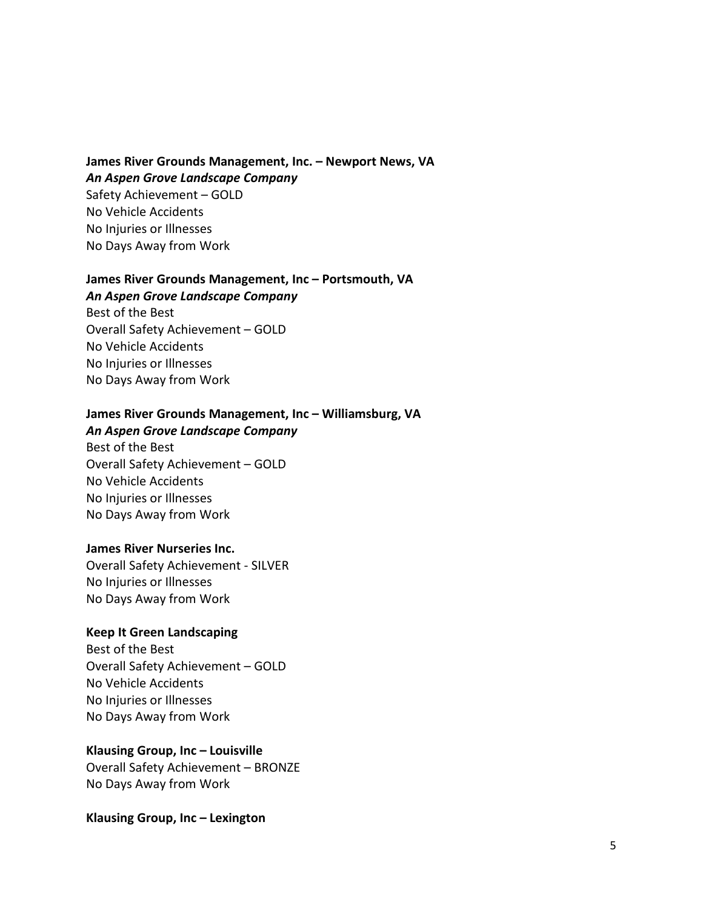**James River Grounds Management, Inc. – Newport News, VA** *An Aspen Grove Landscape Company* Safety Achievement – GOLD No Vehicle Accidents No Injuries or Illnesses No Days Away from Work

## **James River Grounds Management, Inc – Portsmouth, VA**

*An Aspen Grove Landscape Company*

Best of the Best Overall Safety Achievement – GOLD No Vehicle Accidents No Injuries or Illnesses No Days Away from Work

## **James River Grounds Management, Inc – Williamsburg, VA**

*An Aspen Grove Landscape Company*

Best of the Best Overall Safety Achievement – GOLD No Vehicle Accidents No Injuries or Illnesses No Days Away from Work

#### **James River Nurseries Inc.**

Overall Safety Achievement - SILVER No Injuries or Illnesses No Days Away from Work

## **Keep It Green Landscaping**

Best of the Best Overall Safety Achievement – GOLD No Vehicle Accidents No Injuries or Illnesses No Days Away from Work

#### **Klausing Group, Inc – Louisville**

Overall Safety Achievement – BRONZE No Days Away from Work

**Klausing Group, Inc – Lexington**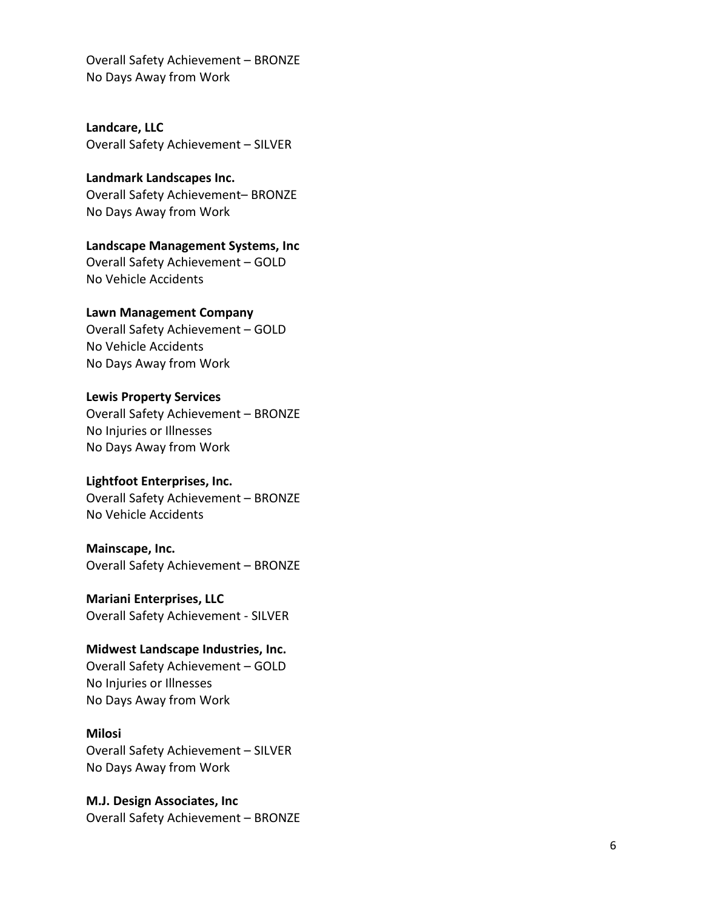Overall Safety Achievement – BRONZE No Days Away from Work

**Landcare , LLC**  Overall Safety Achievement – SILVER

**Landmark Landscapes Inc.** Overall Safety Achievement – BRONZE No Days Away from Work

**Landscape Management Systems, Inc** Overall Safety Achievement – GOLD No Vehicle Accidents

#### **Lawn Management Company**

Overall Safety Achievement – GOLD No Vehicle Accidents No Days Away from Work

#### **Lewis Property Services**

Overall Safety Achievement – BRONZE No Injuries or Illnesses No Days Away from Work

#### **Lightfoot Enterprises, Inc.**

Overall Safety Achievement – BRONZE No Vehicle Accidents

#### **Mainscape, Inc.**

Overall Safety Achievement – BRONZE

**Mariani Enterprises, LLC**

Overall Safety Achievement - SILVER

#### **Midwest Landscape Industries, Inc.**

Overall Safety Achievement – GOLD No Injuries or Illnesses No Days Away from Work

## **Milosi**

Overall Safety Achievement – SILVER No Days Away from Work

**M.J. Design Associates, Inc** Overall Safety Achievement – BRONZE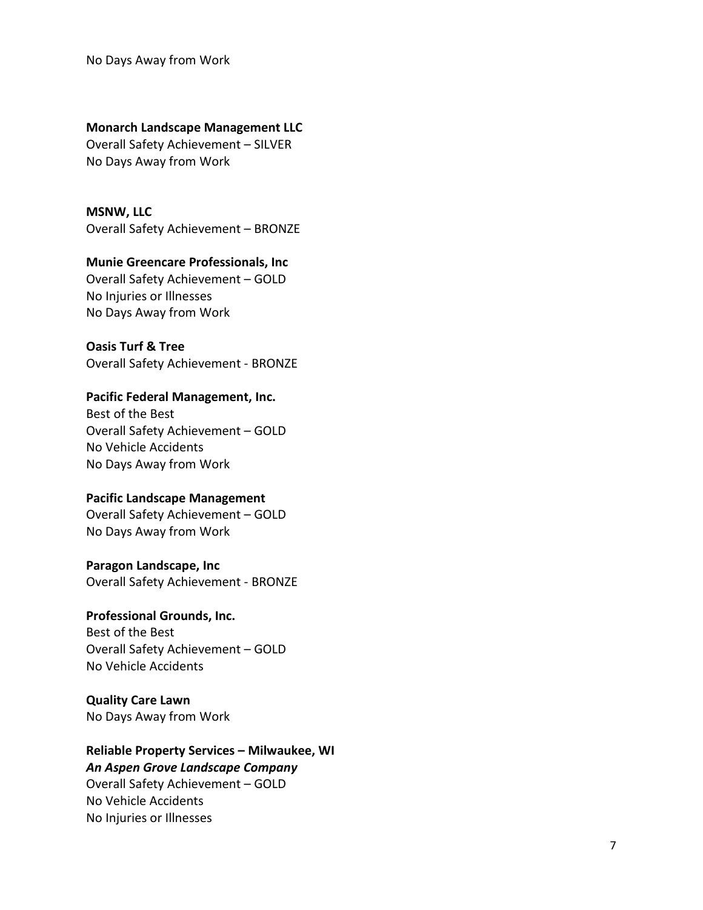No Days Away from Work

#### **Monarch Landscape Management LLC**

Overall Safety Achievement – SILVER No Days Away from Work

**MSNW, LLC** Overall Safety Achievement – BRONZE

## **Munie Greencare Professionals, Inc**

Overall Safety Achievement – GOLD No Injuries or Illnesses No Days Away from Work

#### **Oasis Turf & Tree**

Overall Safety Achievement - BRONZE

## **Pacific Federal Management, Inc.**

Best of the Best Overall Safety Achievement – GOLD No Vehicle Accidents No Days Away from Work

## **Pacific Landscape Management**

Overall Safety Achievement – GOLD No Days Away from Work

#### **Paragon Landscape, Inc**

Overall Safety Achievement - BRONZE

## **Professional Grounds, Inc.**

Best of the Best Overall Safety Achievement – GOLD No Vehicle Accidents

## **Quality Care Lawn**

No Days Away from Work

## **Reliable Property Services – Milwaukee, WI**

*An Aspen Grove Landscape Company* Overall Safety Achievement – GOLD No Vehicle Accidents No Injuries or Illnesses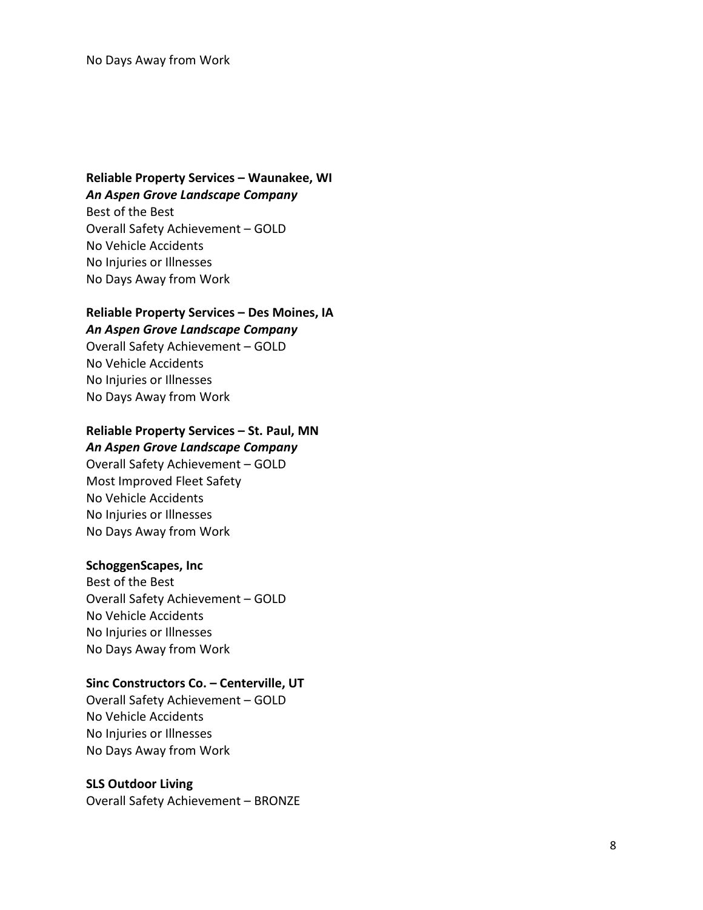## **Reliable Property Services – Waunakee, WI** *An Aspen Grove Landscape Company*

Best of the Best Overall Safety Achievement – GOLD No Vehicle Accidents No Injuries or Illnesses No Days Away from Work

## **Reliable Property Services – Des Moines, I A**

*An Aspen Grove Landscape Company*

Overall Safety Achievement – GOLD No Vehicle Accidents No Injuries or Illnesses No Days Away from Work

## **Reliable Property Services – St. Paul, MN**

#### *An Aspen Grove Landscape Company*

Overall Safety Achievement – GOLD Most Improved Fleet Safety No Vehicle Accidents No Injuries or Illnesses No Days Away from Work

#### **SchoggenScapes, Inc**

Best of the Best Overall Safety Achievement – GOLD No Vehicle Accidents No Injuries or Illnesses No Days Away from Work

#### **Sinc Constructors Co . – Centerville, UT**

Overall Safety Achievement – GOLD No Vehicle Accidents No Injuries or Illnesses No Days Away from Work

#### **SLS Outdoor Living**

Overall Safety Achievement – BRONZE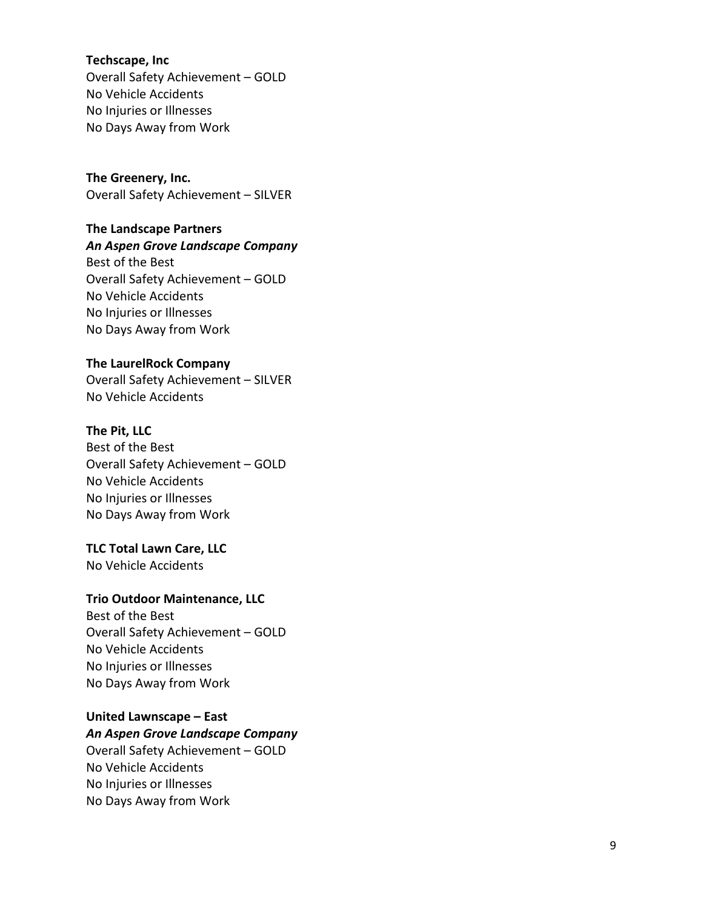**Techscape, Inc** Overall Safety Achievement – GOLD No Vehicle Accidents No Injuries or Illnesses No Days Away from Work

**The Greenery, Inc.**  Overall Safety Achievement – SILVER

## **The Landscape Partners**

## *An Aspen Grove Landscape Company*

Best of the Best Overall Safety Achievement – GOLD No Vehicle Accidents No Injuries or Illnesses No Days Away from Work

## **The LaurelRock Company**

Overall Safety Achievement – SILVER No Vehicle Accidents

## **The Pit, LLC**

Best of the Best Overall Safety Achievement – GOLD No Vehicle Accidents No Injuries or Illnesses No Days Away from Work

## **TLC Total Lawn Care, LLC**

No Vehicle Accidents

## **Trio Outdoor Maintenance , LLC**

Best of the Best Overall Safety Achievement – GOLD No Vehicle Accidents No Injuries or Illnesses No Days Away from Work

#### **United Lawnscape – East** *An Aspen Grove Landscape Company*

Overall Safety Achievement – GOLD No Vehicle Accidents No Injuries or Illnesses No Days Away from Work